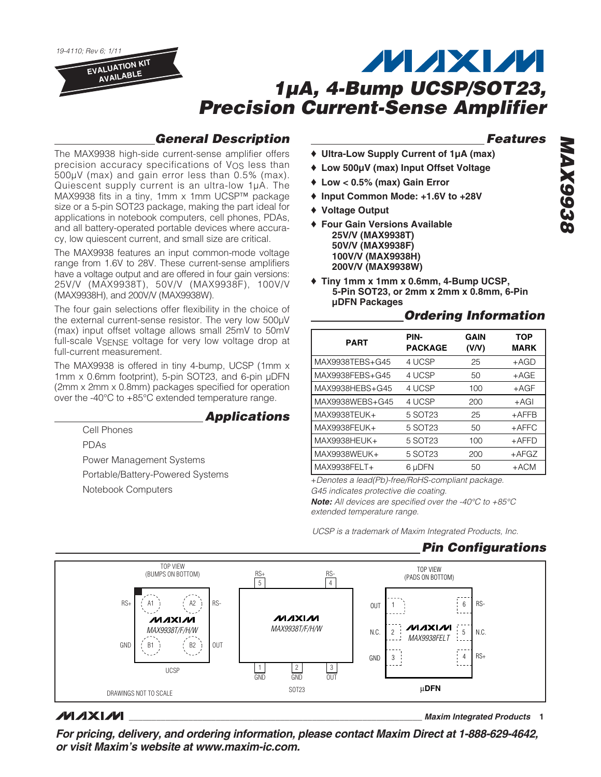19-4110; Rev 6; 1/11 **EVALUATION KIT AVAILABLE**

# **MAXM 1µA, 4-Bump UCSP/SOT23, Precision Current-Sense Amplifier**

# **General Description**

The MAX9938 high-side current-sense amplifier offers precision accuracy specifications of V<sub>OS</sub> less than 500μV (max) and gain error less than 0.5% (max). Quiescent supply current is an ultra-low 1μA. The MAX9938 fits in a tiny, 1mm x 1mm UCSP™ package size or a 5-pin SOT23 package, making the part ideal for applications in notebook computers, cell phones, PDAs, and all battery-operated portable devices where accuracy, low quiescent current, and small size are critical.

The MAX9938 features an input common-mode voltage range from 1.6V to 28V. These current-sense amplifiers have a voltage output and are offered in four gain versions: 25V/V (MAX9938T), 50V/V (MAX9938F), 100V/V (MAX9938H), and 200V/V (MAX9938W).

The four gain selections offer flexibility in the choice of the external current-sense resistor. The very low 500μV (max) input offset voltage allows small 25mV to 50mV full-scale VSENSE voltage for very low voltage drop at full-current measurement.

The MAX9938 is offered in tiny 4-bump, UCSP (1mm x 1mm x 0.6mm footprint), 5-pin SOT23, and 6-pin μDFN (2mm x 2mm x 0.8mm) packages specified for operation over the -40°C to +85°C extended temperature range.

### **Applications**

Cell Phones PDAs Power Management Systems Portable/Battery-Powered Systems Notebook Computers

### **Features**

- ♦ **Ultra-Low Supply Current of 1µA (max)**
- ♦ **Low 500µV (max) Input Offset Voltage**
- ♦ **Low < 0.5% (max) Gain Error**
- ♦ **Input Common Mode: +1.6V to +28V**
- ♦ **Voltage Output**
- ♦ **Four Gain Versions Available 25V/V (MAX9938T) 50V/V (MAX9938F) 100V/V (MAX9938H) 200V/V (MAX9938W)**
- ♦ **Tiny 1mm x 1mm x 0.6mm, 4-Bump UCSP, 5-Pin SOT23, or 2mm x 2mm x 0.8mm, 6-Pin µDFN Packages**

### **Ordering Information**

| <b>PART</b>     | PIN-<br><b>PACKAGE</b> | <b>GAIN</b><br>(V/V) | <b>TOP</b><br>MARK |
|-----------------|------------------------|----------------------|--------------------|
| MAX9938TEBS+G45 | 4 UCSP                 | 25                   | $+AGD$             |
| MAX9938FEBS+G45 | 4 UCSP                 | 50                   | $+AGE$             |
| MAX9938HEBS+G45 | 4 UCSP                 | 100                  | $+AGF$             |
| MAX9938WEBS+G45 | 4 UCSP                 | 200                  | $+AGI$             |
| MAX9938TEUK+    | 5 SOT23                | 25                   | $+$ AFFB           |
| MAX9938FEUK+    | 5 SOT23                | 50                   | $+$ AFFC           |
| MAX9938HEUK+    | 5 SOT23                | 100                  | $+$ AFFD           |
| MAX9938WEUK+    | 5 SOT23                | 200                  | $+AFGZ$            |
| MAX9938FELT+    | 6 µDFN                 | 50                   | $+ACM$             |

+Denotes a lead(Pb)-free/RoHS-compliant package. G45 indicates protective die coating.

**Note:** All devices are specified over the -40°C to +85°C extended temperature range.

UCSP is a trademark of Maxim Integrated Products, Inc.

### **Pin Configurations**



### **MAXIM**

**\_\_\_\_\_\_\_\_\_\_\_\_\_\_\_\_\_\_\_\_\_\_\_\_\_\_\_\_\_\_\_\_\_\_\_\_\_\_\_\_\_\_\_\_\_\_\_\_\_\_\_\_\_\_\_\_\_\_\_\_\_\_\_\_ Maxim Integrated Products 1**

**For pricing, delivery, and ordering information, please contact Maxim Direct at 1-888-629-4642, or visit Maxim's website at www.maxim-ic.com.**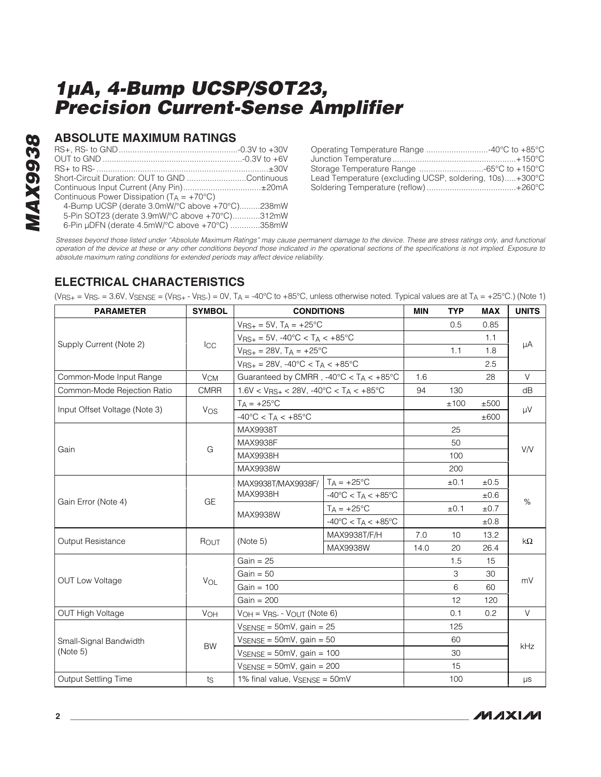# **8268XVM MAX9938**

### **ABSOLUTE MAXIMUM RATINGS**

| Short-Circuit Duration: OUT to GND Continuous         |  |
|-------------------------------------------------------|--|
| Continuous Input Current (Any Pin)±20mA               |  |
| Continuous Power Dissipation ( $T_A = +70^{\circ}C$ ) |  |
| 4-Bump UCSP (derate 3.0mW/°C above +70°C)238mW        |  |
|                                                       |  |

5-Pin SOT23 (derate 3.9mW/°C above +70°C)............312mW

6-Pin μDFN (derate 4.5mW/°C above +70°C) .............358mW

| Lead Temperature (excluding UCSP, soldering, 10s)+300°C |  |
|---------------------------------------------------------|--|
|                                                         |  |

Stresses beyond those listed under "Absolute Maximum Ratings" may cause permanent damage to the device. These are stress ratings only, and functional operation of the device at these or any other conditions beyond those indicated in the operational sections of the specifications is not implied. Exposure to absolute maximum rating conditions for extended periods may affect device reliability.

# **ELECTRICAL CHARACTERISTICS**

 $(V_{\text{RS}+} = V_{\text{RS}-} = 3.6V, V_{\text{SENSE}} = (V_{\text{RS}+} - V_{\text{RS}-}) = 0V, T_A = -40^{\circ}\text{C}$  to  $+85^{\circ}\text{C}$ , unless otherwise noted. Typical values are at  $T_A = +25^{\circ}\text{C}$ .) (Note 1)

| <b>PARAMETER</b>              | <b>SYMBOL</b>         | <b>CONDITIONS</b>                                          |                                                                                                                                            | <b>MIN</b> | <b>TYP</b> | <b>MAX</b> | <b>UNITS</b> |
|-------------------------------|-----------------------|------------------------------------------------------------|--------------------------------------------------------------------------------------------------------------------------------------------|------------|------------|------------|--------------|
|                               |                       | $V_{RS+} = 5V$ , $T_A = +25^{\circ}C$                      |                                                                                                                                            |            | 0.5        | 0.85       |              |
|                               |                       | $V_{RS+} = 5V, -40\degree C < T_A < +85\degree C$          |                                                                                                                                            |            |            | 1.1        |              |
| Supply Current (Note 2)       | $_{\text{ICC}}$       | $V_{RS+} = 28V$ , $T_A = +25^{\circ}C$                     |                                                                                                                                            |            | 1.1        | 1.8        | μA           |
|                               |                       | $V_{RS+} = 28V, -40\degree C < T_A < +85\degree C$         |                                                                                                                                            |            |            | 2.5        |              |
| Common-Mode Input Range       | <b>V<sub>CM</sub></b> | Guaranteed by CMRR, $-40^{\circ}$ C < TA < $+85^{\circ}$ C |                                                                                                                                            | 1.6        |            | 28         | $\vee$       |
| Common-Mode Rejection Ratio   | <b>CMRR</b>           |                                                            |                                                                                                                                            | 94         | 130        |            | dB           |
| Input Offset Voltage (Note 3) | <b>V<sub>OS</sub></b> | $T_A = +25^{\circ}C$                                       |                                                                                                                                            |            | ±100       | ±500       |              |
|                               |                       | $-40^{\circ}$ C < TA < $+85^{\circ}$ C                     |                                                                                                                                            |            |            | ±600       | μV           |
|                               |                       | <b>MAX9938T</b>                                            |                                                                                                                                            |            | 25         |            |              |
|                               |                       | MAX9938F                                                   |                                                                                                                                            |            | 50         |            |              |
| Gain                          | G                     | MAX9938H                                                   |                                                                                                                                            |            | 100        |            | V/V          |
|                               |                       | MAX9938W                                                   |                                                                                                                                            |            | 200        |            |              |
|                               |                       | MAX9938T/MAX9938F/                                         | $T_A = +25^{\circ}C$                                                                                                                       |            | ±0.1       | ±0.5       |              |
|                               |                       | <b>MAX9938H</b>                                            | $-40^{\circ}$ C < T <sub>A</sub> < $+85^{\circ}$ C<br>$T_A = +25$ °C<br>$-40^{\circ}$ C < TA < $+85^{\circ}$ C<br>MAX9938T/F/H<br>MAX9938W |            |            | $\pm 0.6$  |              |
| Gain Error (Note 4)           | GE                    | MAX9938W                                                   |                                                                                                                                            |            | ±0.1       | ±0.7       | $\%$         |
|                               |                       |                                                            |                                                                                                                                            |            |            | ±0.8       |              |
| Output Resistance             |                       | (Note 5)                                                   |                                                                                                                                            | 7.0        | 10         | 13.2       | $k\Omega$    |
|                               | ROUT                  |                                                            |                                                                                                                                            | 14.0       | 20         | 26.4       |              |
|                               |                       | $Gain = 25$                                                |                                                                                                                                            |            | 1.5        | 15         |              |
|                               |                       | $Gain = 50$                                                |                                                                                                                                            |            | 3          | 30         | mV           |
| <b>OUT Low Voltage</b>        | VOL                   | Gain = $100$                                               |                                                                                                                                            |            | 6          | 60         |              |
|                               |                       | $Gain = 200$                                               |                                                                                                                                            |            | 12         | 120        |              |
| <b>OUT High Voltage</b>       | VOH                   | $VOH = VRS - VOUT (Note 6)$                                |                                                                                                                                            |            | 0.1        | 0.2        | V            |
|                               |                       | $V_{\text{SENSE}} = 50 \text{mV}$ , gain = 25              |                                                                                                                                            |            | 125        |            |              |
| Small-Signal Bandwidth        | <b>BW</b>             | $V_{\text{SENSE}} = 50 \text{mV}$ , gain = 50              | $1.6V < V_{RS+} < 28V, -40^{\circ}C < T_A < +85^{\circ}C$<br>1% final value, VSENSE = 50mV                                                 |            | 60         |            |              |
| (Note 5)                      |                       | $V_{\text{SENSE}} = 50 \text{mV}$ , gain = 100             |                                                                                                                                            |            | 30         |            | kHz          |
|                               |                       | $V_{\text{SENSE}} = 50 \text{mV}$ , gain = 200             |                                                                                                                                            |            | 15         |            |              |
| Output Settling Time          | ts                    |                                                            |                                                                                                                                            |            | 100        |            | μs           |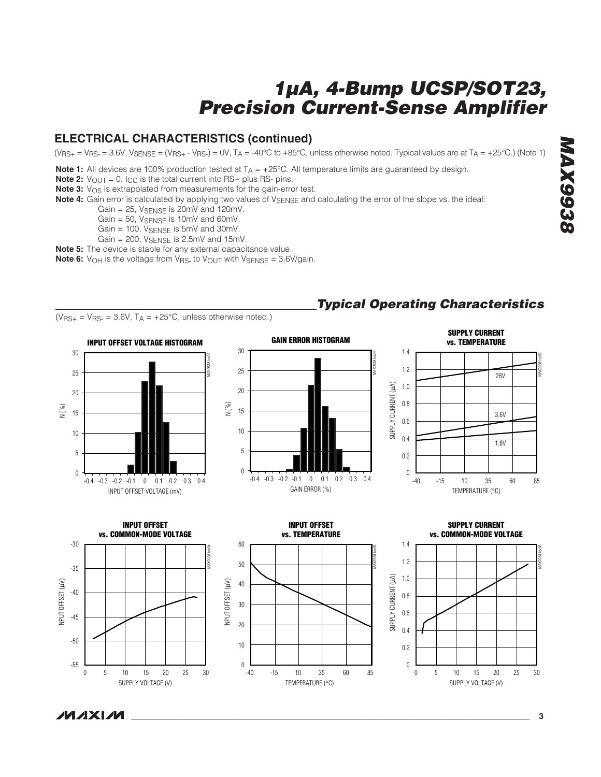### **ELECTRICAL CHARACTERISTICS (continued)**

 $(V_{\rm{BS+}} = V_{\rm{BS-}} = 3.6V$ ,  $V_{\rm{SFNSE}} = (V_{\rm{BS+}} - V_{\rm{BS-}}) = 0V$ ,  $T_A = -40^{\circ}\text{C}$  to  $+85^{\circ}\text{C}$ , unless otherwise noted. Typical values are at  $T_A = +25^{\circ}\text{C}$ .) (Note 1)

**Note 1:** All devices are 100% production tested at T<sub>A</sub> = +25°C. All temperature limits are guaranteed by design.

**Note 2:**  $V_{\text{OUT}} = 0$ . I<sub>CC</sub> is the total current into RS+ plus RS- pins.

**Note 3:** V<sub>OS</sub> is extrapolated from measurements for the gain-error test.

**Note 4:** Gain error is calculated by applying two values of V<sub>SENSE</sub> and calculating the error of the slope vs. the ideal:

Gain =  $25$ ,  $V_{\text{SENSE}}$  is  $20 \text{mV}$  and  $120 \text{mV}$ .

Gain = 50, VSENSE is 10mV and 60mV.

Gain = 100, V<sub>SENSE</sub> is 5mV and 30mV.

Gain =  $200$ , VSENSE is  $2.5$ mV and  $15$ mV.

**Note 5:** The device is stable for any external capacitance value.

**Note 6:** V<sub>OH</sub> is the voltage from V<sub>RS</sub>- to V<sub>OUT</sub> with V<sub>SENSE</sub> = 3.6V/gain.



# **Typical Operating Characteristics**

**MAX9938 BEGGXVM**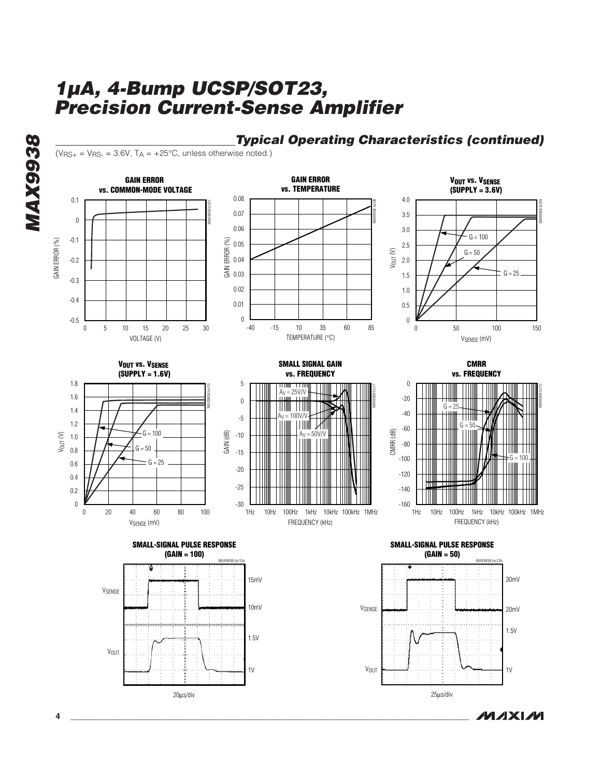**GAIN ERROR GAIN ERROR VOUT VS. VSENSE vs. COMMON-MODE VOLTAGE vs. TEMPERATURE (SUPPLY = 3.6V)** 0.08 4.0 0.1 MAX9938 toc07 MAX9938 toc08 MAX9938 toc09 0.07 3.5 0 0.06 3.0  $G = 100$ -0.1 GAIN ERROR (%) GAIN ERROR (%) GAIN ERROR (%) 0.05 2.5 Vout (V)  $G = 50$ -0.2 2.0 0.04  $G = 25$ 1.5 0.03 -0.3 0.02 1.0 -0.4 0.01 0.5 0  $\boldsymbol{0}$ -0.5 -40 50 100 0 10 15 5 20 25 30 -15 10 60 85 35 0 50 100 150 VOLTAGE (V) TEMPERATURE (°C) VSENSE (mV) **SMALL SIGNAL GAIN VOUT VS. VSENSE CMRR (SUPPLY = 1.6V) vs. FREQUENCY vs. FREQUENCY** 1.8 5  $\boldsymbol{0}$ MAX9938 toc10 MAX9938 toc12 MAX9938 toc11  $= 25$ V/V 1.6 -20  $\boldsymbol{0}$ G 1.4  $-40$  $A_V = 100V/V$ -5 1.2  $G = 50$ -60 CMRR (dB) GAIN (dB) Vout (V)  $G = 100$ -10  $A_V = 50V/V$ 1.0 -80  $G = 50$ 0.8 -15 -100  $G = 100$  $G - 25$ 0.6 -20 -120 0.4 -25 -140 0.2 0 -30 -160 10Hz 100Hz 1kHz 10kHz 100kHz 1MHz 10Hz 100Hz 1kHz 10kHz 100kHz 1MHz 20 40 60 80 1Hz 1Hz 0 20 40 60 80 100 VSENSE (mV) FREQUENCY (kHz) FREQUENCY (kHz) **SMALL-SIGNAL PULSE RESPONSE SMALL-SIGNAL PULSE RESPONSE (GAIN = 100) (GAIN = 50)** MAX9938 toc13a MAX9938 toc13b 15mV 30mV **V<sub>SENSE</sub>** 10mV V<sub>SENSE</sub> 20mV 1.5V 1.5V VOUT V<sub>OUT</sub> 1V 1V 25μs/div 20μs/div

**Typical Operating Characteristics (continued)**

**MAXIM** 

 $(V_{RS+} = V_{RS-} = 3.6V, T_A = +25°C$ , unless otherwise noted.)

**MAX9938**

**8266XVW**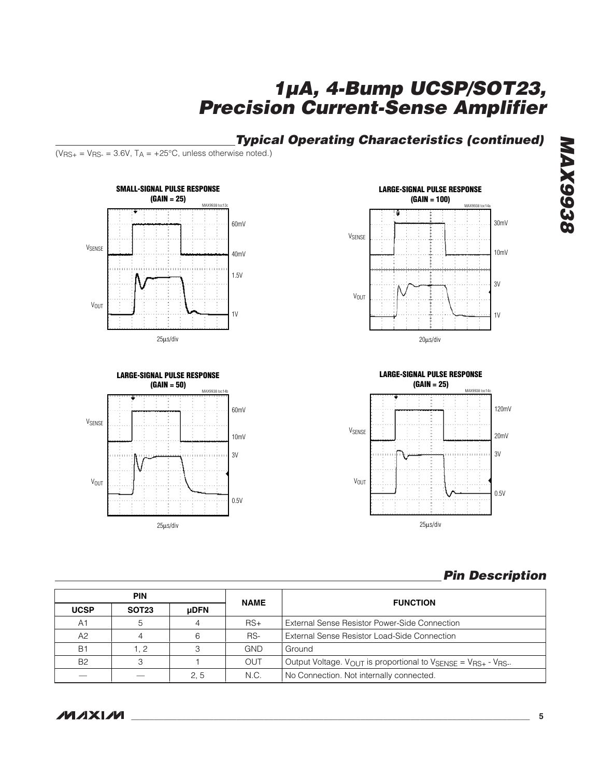# **Typical Operating Characteristics (continued)**

 $(V_{RS+} = V_{RS-} = 3.6V, T_A = +25°C$ , unless otherwise noted.)









# **Pin Description**

|             | <b>PIN</b>   |             | <b>NAME</b> | <b>FUNCTION</b>                                                                              |  |
|-------------|--------------|-------------|-------------|----------------------------------------------------------------------------------------------|--|
| <b>UCSP</b> | <b>SOT23</b> | <b>uDFN</b> |             |                                                                                              |  |
| A1          |              |             | $RS+$       | External Sense Resistor Power-Side Connection                                                |  |
| A2          |              | 6           | RS-         | <b>External Sense Resistor Load-Side Connection</b>                                          |  |
| <b>B1</b>   |              |             | <b>GND</b>  | Ground                                                                                       |  |
| <b>B2</b>   |              |             | <b>OUT</b>  | Output Voltage. VOUT is proportional to $V_{\text{SENSE}} = V_{\text{BS}+} - V_{\text{RS}+}$ |  |
|             |              | 2.5         | N.C.        | No Connection. Not internally connected.                                                     |  |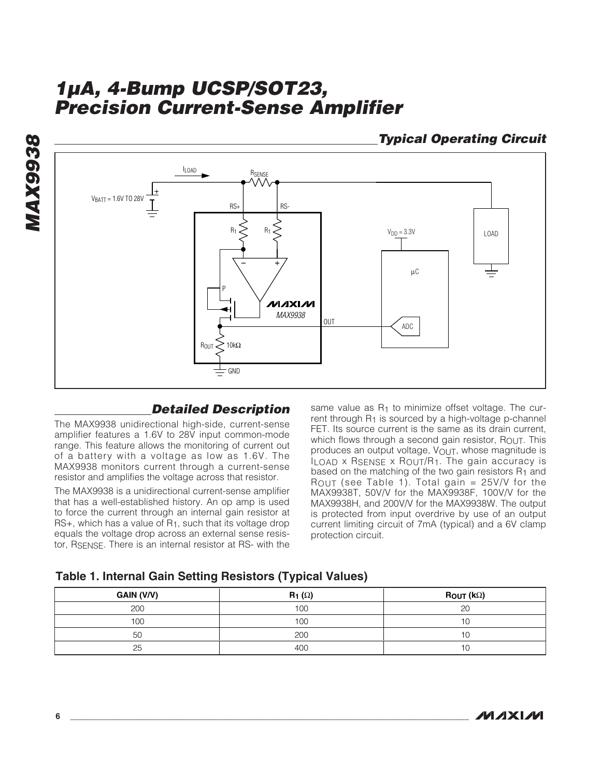**Typical Operating Circuit**



### **Detailed Description**

The MAX9938 unidirectional high-side, current-sense amplifier features a 1.6V to 28V input common-mode range. This feature allows the monitoring of current out of a battery with a voltage as low as 1.6V. The MAX9938 monitors current through a current-sense resistor and amplifies the voltage across that resistor.

The MAX9938 is a unidirectional current-sense amplifier that has a well-established history. An op amp is used to force the current through an internal gain resistor at  $RS+$ , which has a value of  $R<sub>1</sub>$ , such that its voltage drop equals the voltage drop across an external sense resistor, RSENSE. There is an internal resistor at RS- with the

same value as R<sub>1</sub> to minimize offset voltage. The current through  $R_1$  is sourced by a high-voltage p-channel FET. Its source current is the same as its drain current, which flows through a second gain resistor,  $R_{\text{OUT}}$ . This produces an output voltage, VOUT, whose magnitude is ILOAD x RSENSE x ROUT/R1. The gain accuracy is based on the matching of the two gain resistors  $R_1$  and ROUT (see Table 1). Total gain =  $25V/V$  for the MAX9938T, 50V/V for the MAX9938F, 100V/V for the MAX9938H, and 200V/V for the MAX9938W. The output is protected from input overdrive by use of an output current limiting circuit of 7mA (typical) and a 6V clamp protection circuit.

| <b>Table 1. Internal Gain Setting Resistors (Typical Values)</b> |  |  |  |
|------------------------------------------------------------------|--|--|--|
|------------------------------------------------------------------|--|--|--|

| GAIN (V/V) | $R_1(\Omega)$ | $\textsf{ROUT}(\mathsf{k}\Omega)$ |
|------------|---------------|-----------------------------------|
| 200        | 100           | 20                                |
| 100        | 100           |                                   |
| 50         | 200           |                                   |
| 25         | 400           |                                   |

**MAX9938**

**MAX9938**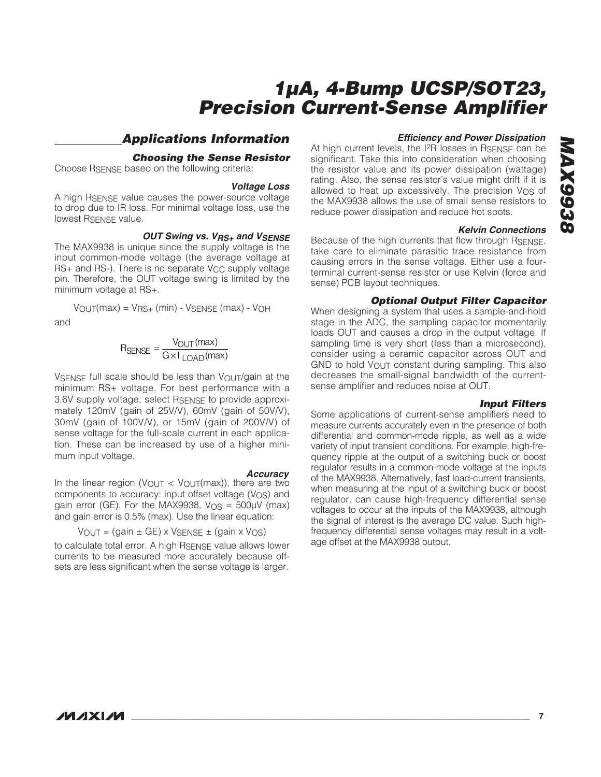### **Applications Information**

#### **Choosing the Sense Resistor**

Choose RSENSE based on the following criteria:

#### **Voltage Loss**

A high RSENSE value causes the power-source voltage to drop due to IR loss. For minimal voltage loss, use the lowest RSENSE value.

#### **OUT Swing vs. VRS+ and VSENSE**

The MAX9938 is unique since the supply voltage is the input common-mode voltage (the average voltage at RS+ and RS-). There is no separate V<sub>CC</sub> supply voltage pin. Therefore, the OUT voltage swing is limited by the minimum voltage at RS+.

$$
V_{OUT}(max) = V_{RS+}(min) - V_{SENSE}(max) - V_{OH}
$$

and

$$
R_{\text{SENSE}} = \frac{V_{\text{OUT}}(\text{max})}{G \times I_{\text{LOAD}}(\text{max})}
$$

VSENSE full scale should be less than VOUT/gain at the minimum RS+ voltage. For best performance with a 3.6V supply voltage, select RSENSE to provide approximately 120mV (gain of 25V/V), 60mV (gain of 50V/V), 30mV (gain of 100V/V), or 15mV (gain of 200V/V) of sense voltage for the full-scale current in each application. These can be increased by use of a higher minimum input voltage.

**Accuracy**<br>In the linear region (V<sub>OUT</sub> < V<sub>OUT</sub>(max)), there are two components to accuracy: input offset voltage  $(V_{OS})$  and gain error (GE). For the MAX9938,  $V_{OS} = 500 \mu V$  (max) and gain error is 0.5% (max). Use the linear equation:

$$
V_{OUT} = (gain \pm GE) \times V_{SENSE} \pm (gain \times V_{OS})
$$

to calculate total error. A high RSENSE value allows lower currents to be measured more accurately because offsets are less significant when the sense voltage is larger.

#### **Efficiency and Power Dissipation**

At high current levels, the I<sup>2</sup>R losses in RSENSE can be significant. Take this into consideration when choosing the resistor value and its power dissipation (wattage) rating. Also, the sense resistor's value might drift if it is allowed to heat up excessively. The precision V<sub>OS</sub> of the MAX9938 allows the use of small sense resistors to reduce power dissipation and reduce hot spots.

#### **Kelvin Connections**

Because of the high currents that flow through RSENSE, take care to eliminate parasitic trace resistance from causing errors in the sense voltage. Either use a fourterminal current-sense resistor or use Kelvin (force and sense) PCB layout techniques.

#### **Optional Output Filter Capacitor**

When designing a system that uses a sample-and-hold stage in the ADC, the sampling capacitor momentarily loads OUT and causes a drop in the output voltage. If sampling time is very short (less than a microsecond), consider using a ceramic capacitor across OUT and GND to hold  $V_{\text{OUT}}$  constant during sampling. This also decreases the small-signal bandwidth of the currentsense amplifier and reduces noise at OUT.

#### **Input Filters**

Some applications of current-sense amplifiers need to measure currents accurately even in the presence of both differential and common-mode ripple, as well as a wide variety of input transient conditions. For example, high-frequency ripple at the output of a switching buck or boost regulator results in a common-mode voltage at the inputs of the MAX9938. Alternatively, fast load-current transients, when measuring at the input of a switching buck or boost regulator, can cause high-frequency differential sense voltages to occur at the inputs of the MAX9938, although the signal of interest is the average DC value. Such highfrequency differential sense voltages may result in a voltage offset at the MAX9938 output.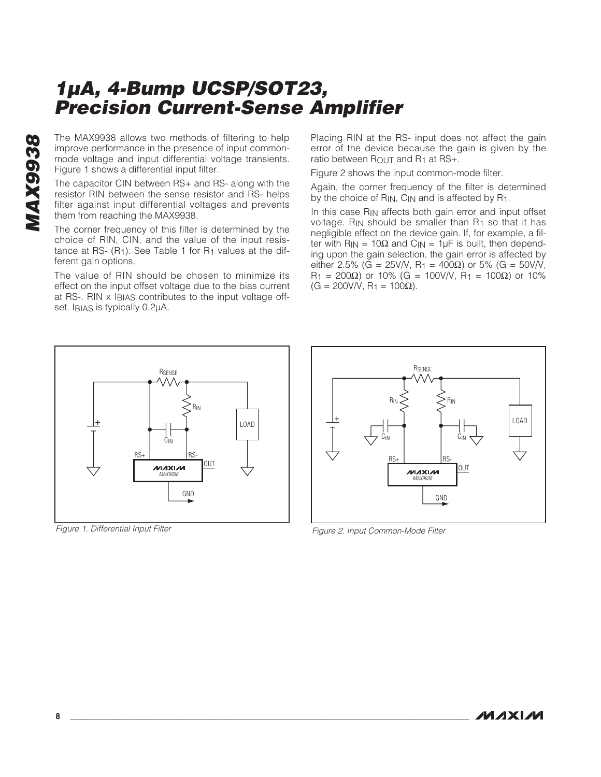The MAX9938 allows two methods of filtering to help improve performance in the presence of input commonmode voltage and input differential voltage transients. Figure 1 shows a differential input filter.

The capacitor CIN between RS+ and RS- along with the resistor RIN between the sense resistor and RS- helps filter against input differential voltages and prevents them from reaching the MAX9938.

The corner frequency of this filter is determined by the choice of RIN, CIN, and the value of the input resistance at RS-  $(R<sub>1</sub>)$ . See Table 1 for  $R<sub>1</sub>$  values at the different gain options.

The value of RIN should be chosen to minimize its effect on the input offset voltage due to the bias current at RS-. RIN x IBIAS contributes to the input voltage offset. IBIAS is typically 0.2μA.

Placing RIN at the RS- input does not affect the gain error of the device because the gain is given by the ratio between ROUT and R<sub>1</sub> at RS+.

Figure 2 shows the input common-mode filter.

Again, the corner frequency of the filter is determined by the choice of R<sub>IN</sub>, C<sub>IN</sub> and is affected by R<sub>1</sub>.

In this case R<sub>IN</sub> affects both gain error and input offset voltage. RIN should be smaller than R1 so that it has negligible effect on the device gain. If, for example, a filter with  $R_{IN} = 10\Omega$  and  $C_{IN} = 1\mu F$  is built, then depending upon the gain selection, the gain error is affected by either 2.5% (G = 25V/V, R<sub>1</sub> = 400Ω) or 5% (G = 50V/V,  $R_1 = 200Ω$ ) or 10% (G = 100V/V,  $R_1 = 100Ω$ ) or 10%  $(G = 200V/V, R<sub>1</sub> = 100Ω).$ 



Figure 1. Differential Input Filter



Figure 2. Input Common-Mode Filter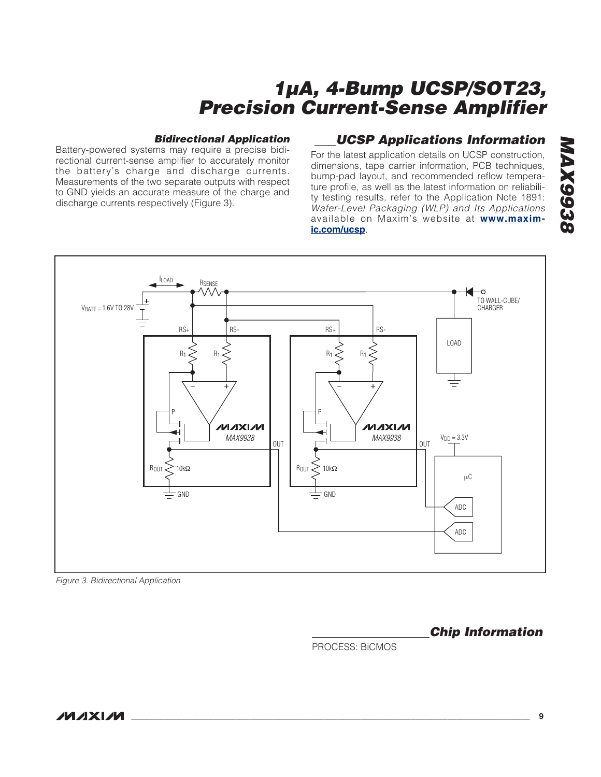#### **Bidirectional Application**

Battery-powered systems may require a precise bidirectional current-sense amplifier to accurately monitor the battery's charge and discharge currents. Measurements of the two separate outputs with respect to GND yields an accurate measure of the charge and discharge currents respectively (Figure 3).

### **UCSP Applications Information**

For the latest application details on UCSP construction, dimensions, tape carrier information, PCB techniques, bump-pad layout, and recommended reflow temperature profile, as well as the latest information on reliability testing results, refer to the Application Note 1891: Wafer-Level Packaging (WLP) and Its Applications available on Maxim's website at **www.maximic.com/ucsp**.



Figure 3. Bidirectional Application

**Chip Information**

PROCESS: BiCMOS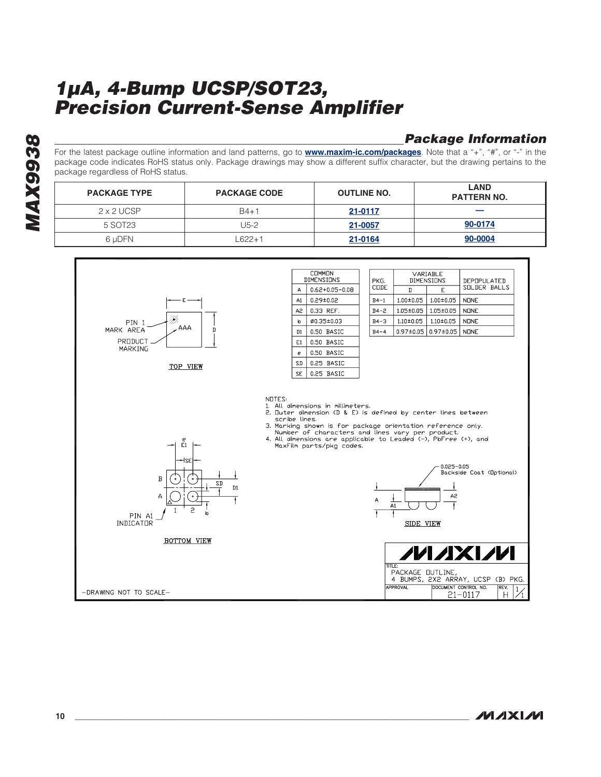# **Package Information**

For the latest package outline information and land patterns, go to **www.maxim-ic.com/packages**. Note that a "+", "#", or "-" in the package code indicates RoHS status only. Package drawings may show a different suffix character, but the drawing pertains to the package regardless of RoHS status.

| <b>PACKAGE TYPE</b> | <b>PACKAGE CODE</b> | <b>OUTLINE NO.</b> | <b>LAND</b><br><b>PATTERN NO.</b> |
|---------------------|---------------------|--------------------|-----------------------------------|
| 2 x 2 UCSP          | $B4+1$              | 21-0117            |                                   |
| 5 SOT23             | U5-2                | 21-0057            | 90-0174                           |
| 6 uDFN              | 622+1               | 21-0164            | 90-0004                           |



**MAXM**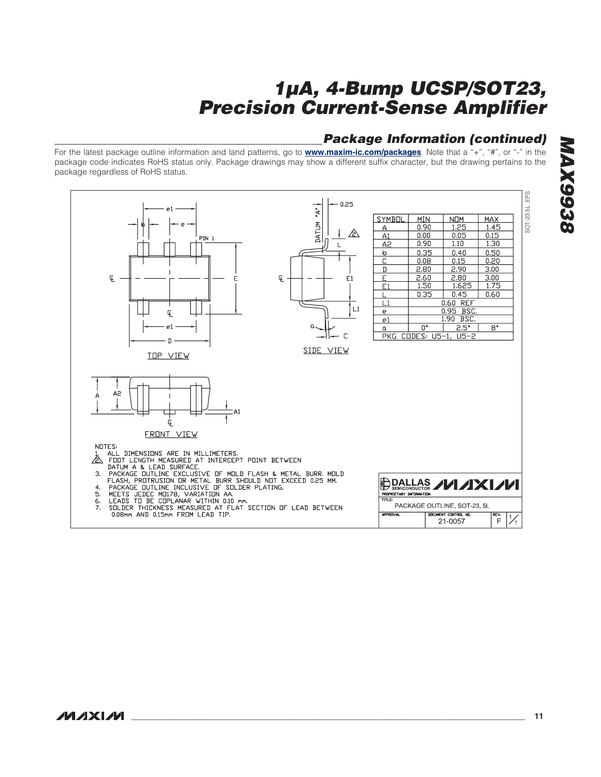### **Package Information (continued)**

For the latest package outline information and land patterns, go to **www.maxim-ic.com/packages**. Note that a "+", "#", or "-" in the package code indicates RoHS status only. Package drawings may show a different suffix character, but the drawing pertains to the package regardless of RoHS status.

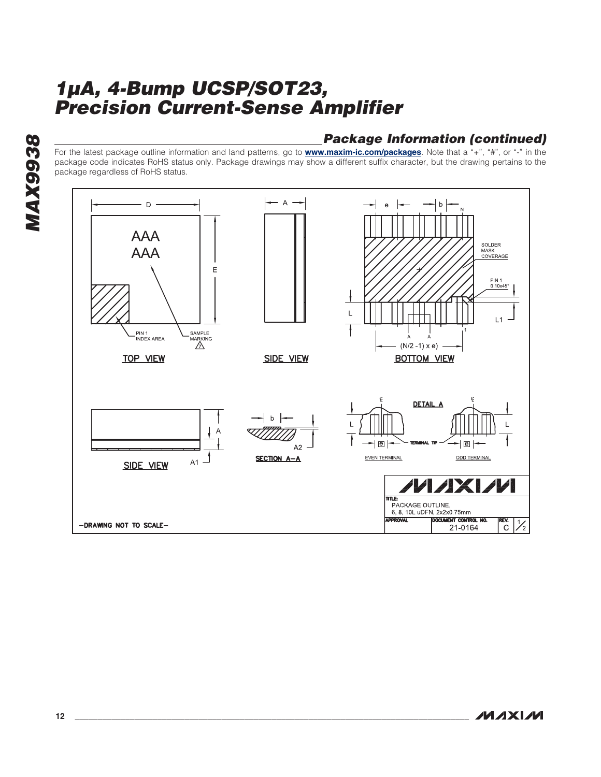# **Package Information (continued)**

For the latest package outline information and land patterns, go to **www.maxim-ic.com/packages**. Note that a "+", "#", or "-" in the package code indicates RoHS status only. Package drawings may show a different suffix character, but the drawing pertains to the package regardless of RoHS status.



**MAXM**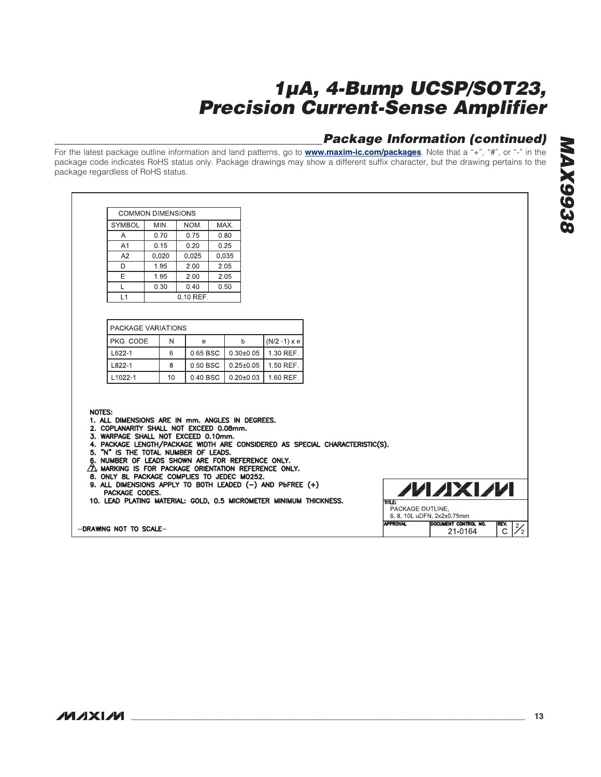# **Package Information (continued)**

For the latest package outline information and land patterns, go to **www.maxim-ic.com/packages**. Note that a "+", "#", or "-" in the package code indicates RoHS status only. Package drawings may show a different suffix character, but the drawing pertains to the package regardless of RoHS status.

|                | COMMON DIMENSIONS |       |       |  |  |  |
|----------------|-------------------|-------|-------|--|--|--|
| <b>SYMBOL</b>  | MIN.              | NOM.  | MAX.  |  |  |  |
| А              | 0.70              | 0.75  | 0.80  |  |  |  |
| A <sub>1</sub> | 0.15              | 0.20  | 0.25  |  |  |  |
| A2             | 0.020             | 0.025 | 0.035 |  |  |  |
| D              | 1.95              | 2.00  | 2.05  |  |  |  |
| F              | 1.95              | 2.00  | 2.05  |  |  |  |
|                | 0.30              | 0.40  | 0.50  |  |  |  |
| l 1            | 0 10 RFF          |       |       |  |  |  |

| <b>PACKAGE VARIATIONS</b> |    |          |               |                 |
|---------------------------|----|----------|---------------|-----------------|
| PKG CODE                  | N  | е        |               | $(N/2 - 1)$ x e |
| $L622-1$                  | 6  | 0.65 BSC | $0.30 + 0.05$ | 1 30 REF        |
| L822-1                    | 8  | 0.50 BSC | $0.25 + 0.05$ | 1.50 REF        |
| L <sub>1022-1</sub>       | 10 | 0.40 BSC | $0.20 + 0.03$ | 160 RFF         |

#### **NOTES:**

- 1. ALL DIMENSIONS ARE IN mm. ANGLES IN DEGREES.
- 2. COPLANARITY SHALL NOT EXCEED 0.08mm.
- 
- 2. COPLANARITY SHALL NOT EXCEED 0.06mm.<br>3. WARPAGE SHALL NOT EXCEED 0.10mm.<br>4. PACKAGE LENGTH/PACKAGE WIDTH ARE CONSIDERED AS SPECIAL CHARACTERISTIC(S).
- 
- 5. "N" IS THE TOTAL NUMBER OF LEADS.<br>6. NUMBER OF LEADS SHOWN ARE FOR REFERENCE ONLY.<br>2. MARKING IS FOR PACKAGE ORIENTATION REFERENCE ONLY.
- 
- 8. ONLY 8L PACKAGE COMPLIES TO JEDEC MO252.
- 9. ALL DIMENSIONS APPLY TO BOTH LEADED (-) AND PUFREE (+) PACKAGE CODES.
- 10. LEAD PLATING MATERIAL: GOLD, 0.5 MICROMETER MINIMUM THICKNESS.

-DRAWING NOT TO SCALE-